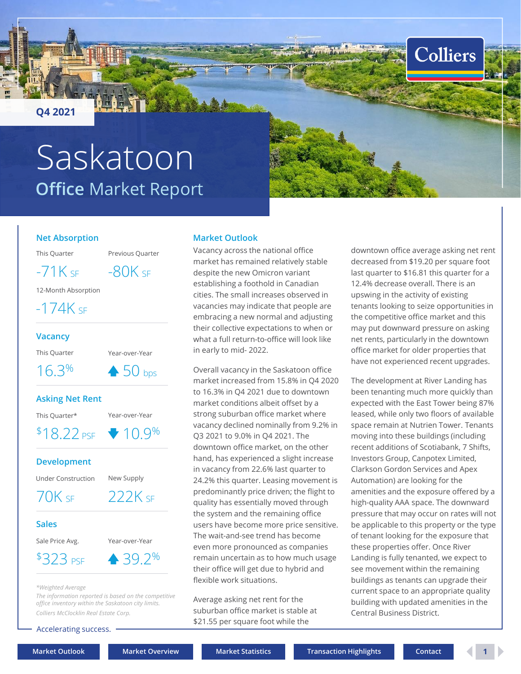<span id="page-0-0"></span>**Q4 2021**

# **Office** Market Report Saskatoon

### **Net Absorption**

This Quarter Previous Quarter

 $-71K$  SF  $-80K$  SF

12-Month Absorption

 $-174K$  SF

#### **Vacancy**

This Quarter Year-over-Year

 $16.3\%$   $\bullet$  50 bps

### **Asking Net Rent**

This Quarter\* Year-over-Year

 $$18.22 \text{ }\mathrm{PSE}$$   $\rightarrow 10.9\%$ 

## **Development**

Under Construction New Supply

70K SF 222K SF

### **Sales**

Sale Price Avg. Year-over-Year

 $$323 \, \text{psF} \quad \triangle 39.2\%$ 

#### *\*Weighted Average*

*The information reported is based on the competitive office inventory within the Saskatoon city limits. Colliers McClocklin Real Estate Corp.*

Accelerating success.

## **Market Outlook**

Vacancy across the national office market has remained relatively stable despite the new Omicron variant establishing a foothold in Canadian cities. The small increases observed in vacancies may indicate that people are embracing a new normal and adjusting their collective expectations to when or what a full return-to-office will look like in early to mid- 2022.

Overall vacancy in the Saskatoon office market increased from 15.8% in Q4 2020 to 16.3% in Q4 2021 due to downtown market conditions albeit offset by a strong suburban office market where vacancy declined nominally from 9.2% in Q3 2021 to 9.0% in Q4 2021. The downtown office market, on the other hand, has experienced a slight increase in vacancy from 22.6% last quarter to 24.2% this quarter. Leasing movement is predominantly price driven; the flight to quality has essentially moved through the system and the remaining office users have become more price sensitive. The wait-and-see trend has become even more pronounced as companies remain uncertain as to how much usage their office will get due to hybrid and flexible work situations.

Average asking net rent for the suburban office market is stable at \$21.55 per square foot while the

downtown office average asking net rent decreased from \$19.20 per square foot last quarter to \$16.81 this quarter for a 12.4% decrease overall. There is an upswing in the activity of existing tenants looking to seize opportunities in the competitive office market and this may put downward pressure on asking net rents, particularly in the downtown office market for older properties that have not experienced recent upgrades.

**Colliers** 

The development at River Landing has been tenanting much more quickly than expected with the East Tower being 87% leased, while only two floors of available space remain at Nutrien Tower. Tenants moving into these buildings (including recent additions of Scotiabank, 7 Shifts, Investors Group, Canpotex Limited, Clarkson Gordon Services and Apex Automation) are looking for the amenities and the exposure offered by a high-quality AAA space. The downward pressure that may occur on rates will not be applicable to this property or the type of tenant looking for the exposure that these properties offer. Once River Landing is fully tenanted, we expect to see movement within the remaining buildings as tenants can upgrade their current space to an appropriate quality building with updated amenities in the Central Business District.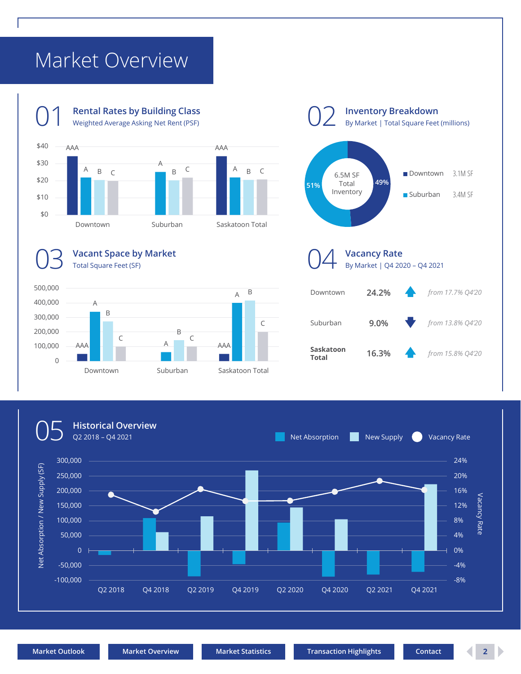## <span id="page-1-0"></span>Market Overview









**Inventory Breakdown**



A

B

**[Market Outlook](#page-0-0) [Market Overview](#page-1-0) [Market Statistics](#page-2-0) [Transaction Highlights](#page-2-0) [Contact](#page-3-0) 2**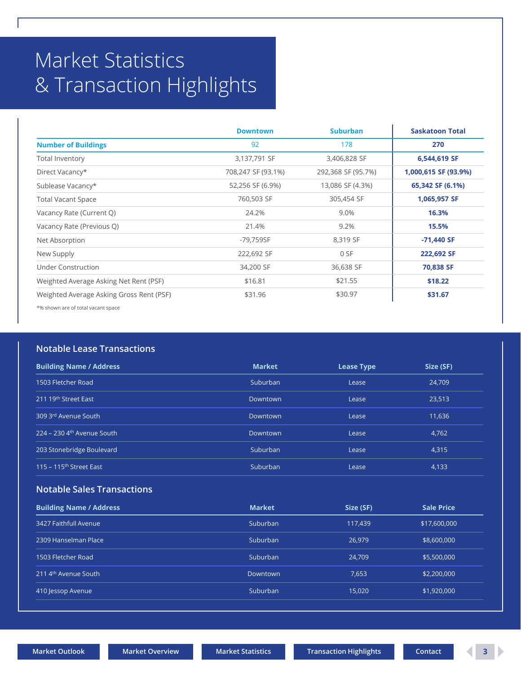## <span id="page-2-0"></span>Market Statistics & Transaction Highlights

|                                          | <b>Downtown</b>    | <b>Suburban</b>    | <b>Saskatoon Total</b> |
|------------------------------------------|--------------------|--------------------|------------------------|
| <b>Number of Buildings</b>               | 92                 | 178                | 270                    |
| Total Inventory                          | 3,137,791 SF       | 3,406,828 SF       | 6,544,619 SF           |
| Direct Vacancy*                          | 708,247 SF (93.1%) | 292,368 SF (95.7%) | 1,000,615 SF (93.9%)   |
| Sublease Vacancy*                        | 52,256 SF (6.9%)   | 13,086 SF (4.3%)   | 65,342 SF (6.1%)       |
| <b>Total Vacant Space</b>                | 760,503 SF         | 305,454 SF         | 1,065,957 SF           |
| Vacancy Rate (Current Q)                 | 24.2%              | 9.0%               | 16.3%                  |
| Vacancy Rate (Previous Q)                | 21.4%              | 9.2%               | 15.5%                  |
| Net Absorption                           | -79,759SF          | 8,319 SF           | -71,440 SF             |
| New Supply                               | 222,692 SF         | 0 SF               | 222,692 SF             |
| Under Construction                       | 34,200 SF          | 36,638 SF          | 70,838 SF              |
| Weighted Average Asking Net Rent (PSF)   | \$16.81            | \$21.55            | \$18.22                |
| Weighted Average Asking Gross Rent (PSF) | \$31.96            | \$30.97            | \$31.67                |

\*% shown are of total vacant space

## **Notable Lease Transactions**

| <b>Building Name / Address</b>           | <b>Market</b> | <b>Lease Type</b> | Size (SF) |
|------------------------------------------|---------------|-------------------|-----------|
| 1503 Fletcher Road                       | Suburban      | Lease             | 24.709    |
| 211 19th Street East                     | Downtown      | Lease             | 23,513    |
| 309 3rd Avenue South                     | Downtown      | Lease             | 11.636    |
| $224 - 230$ 4 <sup>th</sup> Avenue South | Downtown      | Lease             | 4,762     |
| 203 Stonebridge Boulevard                | Suburban      | Lease             | 4,315     |
| 115 - 115 <sup>th</sup> Street East      | Suburban      | Lease             | 4,133     |

## **Notable Sales Transactions**

| <b>Building Name / Address</b>   | <b>Market</b> | Size (SF) | <b>Sale Price</b> |
|----------------------------------|---------------|-----------|-------------------|
| 3427 Faithfull Avenue            | Suburban      | 117,439   | \$17,600,000      |
| 2309 Hanselman Place             | Suburban      | 26,979    | \$8,600,000       |
| 1503 Fletcher Road               | Suburban      | 24,709    | \$5,500,000       |
| 211 4 <sup>th</sup> Avenue South | Downtown      | 7.653     | \$2,200,000       |
| 410 Jessop Avenue                | Suburban      | 15.020    | \$1,920,000       |